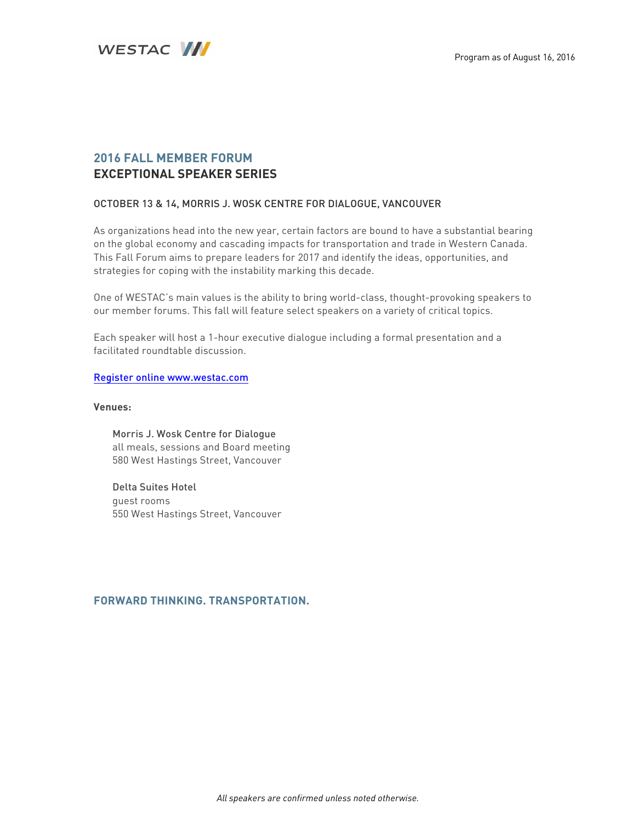

# **2016 FALL MEMBER FORUM EXCEPTIONAL SPEAKER SERIES**

# OCTOBER 13 & 14, MORRIS J. WOSK CENTRE FOR DIALOGUE, VANCOUVER

As organizations head into the new year, certain factors are bound to have a substantial bearing on the global economy and cascading impacts for transportation and trade in Western Canada. This Fall Forum aims to prepare leaders for 2017 and identify the ideas, opportunities, and strategies for coping with the instability marking this decade.

One of WESTAC's main values is the ability to bring world-class, thought-provoking speakers to our member forums. This fall will feature select speakers on a variety of critical topics.

Each speaker will host a 1-hour executive dialogue including a formal presentation and a facilitated roundtable discussion.

### Register online www.westac.com

### **Venues:**

Morris J. Wosk Centre for Dialogue all meals, sessions and Board meeting 580 West Hastings Street, Vancouver

Delta Suites Hotel guest rooms 550 West Hastings Street, Vancouver

# **FORWARD THINKING. TRANSPORTATION.**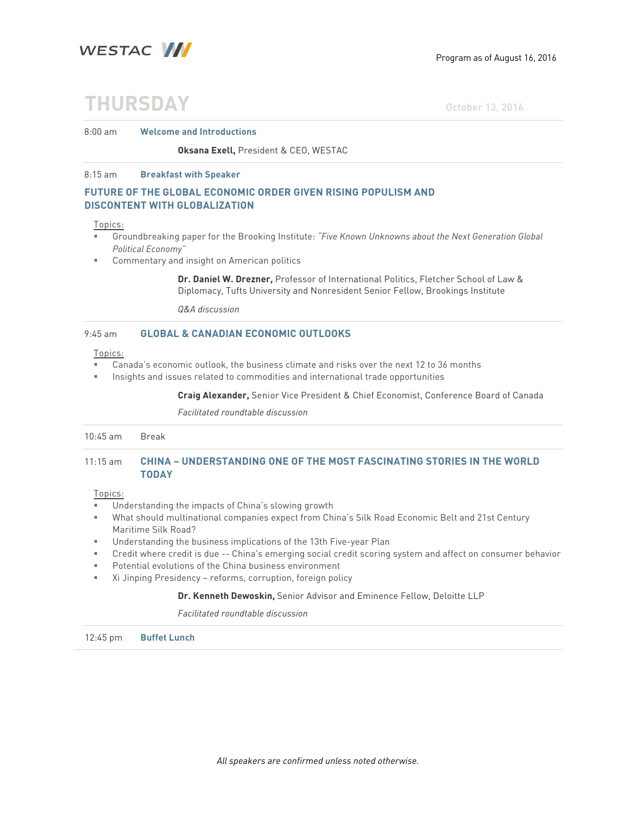

# **THURSDAY** October 13, 2016

#### 8:00 am **Welcome and Introductions**

#### **Oksana Exell,** President & CEO, WESTAC

#### 8:15 am **Breakfast with Speaker**

## **FUTURE OF THE GLOBAL ECONOMIC ORDER GIVEN RISING POPULISM AND DISCONTENT WITH GLOBALIZATION**

#### Topics:

- § Groundbreaking paper for the Brooking Institute: *"Five Known Unknowns about the Next Generation Global Political Economy"*
- § Commentary and insight on American politics

**Dr. Daniel W. Drezner,** Professor of International Politics, Fletcher School of Law & Diplomacy, Tufts University and Nonresident Senior Fellow, Brookings Institute

*Q&A discussion*

#### 9:45 am **GLOBAL & CANADIAN ECONOMIC OUTLOOKS**

#### Topics:

- § Canada's economic outlook, the business climate and risks over the next 12 to 36 months
- Insights and issues related to commodities and international trade opportunities

**Craig Alexander,** Senior Vice President & Chief Economist, Conference Board of Canada

*Facilitated roundtable discussion* 

| $10:45$ am         | Break                                                                                         |
|--------------------|-----------------------------------------------------------------------------------------------|
| $11:15 \text{ am}$ | <b>CHINA - UNDERSTANDING ONE OF THE MOST FASCINATING STORIES IN THE WORLD</b><br><b>TODAY</b> |

#### Topics:

- Understanding the impacts of China's slowing growth
- § What should multinational companies expect from China's Silk Road Economic Belt and 21st Century Maritime Silk Road?
- § Understanding the business implications of the 13th Five-year Plan
- § Credit where credit is due -- China's emerging social credit scoring system and affect on consumer behavior
- Potential evolutions of the China business environment
- § Xi Jinping Presidency reforms, corruption, foreign policy

#### **Dr. Kenneth Dewoskin,** Senior Advisor and Eminence Fellow, Deloitte LLP

*Facilitated roundtable discussion* 

12:45 pm **Buffet Lunch**